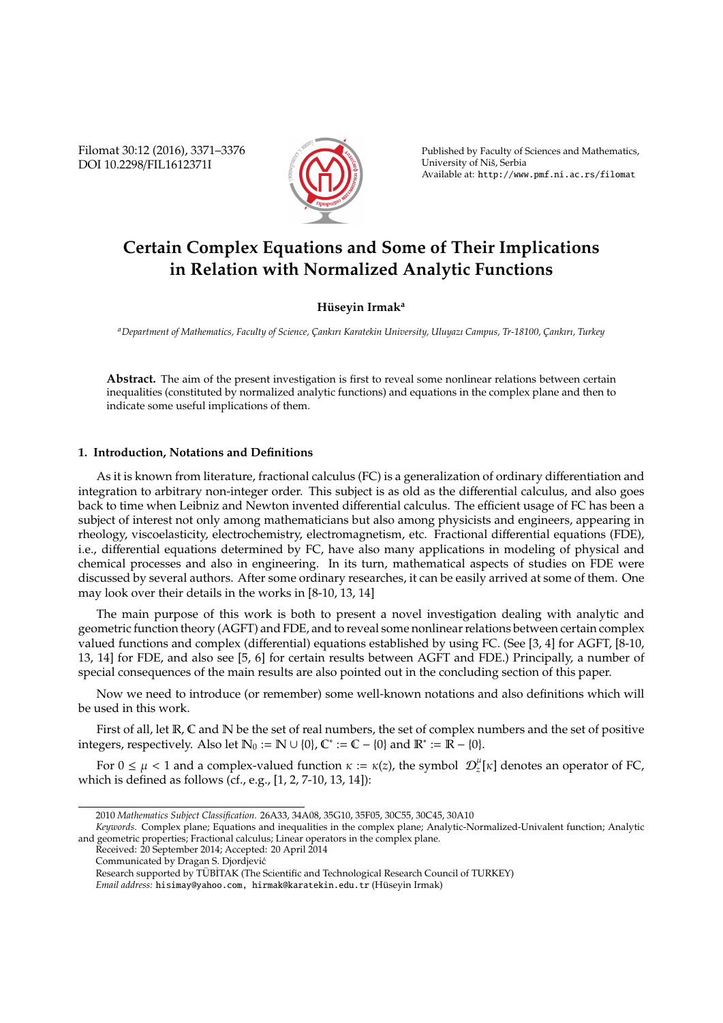Filomat 30:12 (2016), 3371–3376 DOI 10.2298/FIL1612371I



Published by Faculty of Sciences and Mathematics, University of Niš, Serbia Available at: http://www.pmf.ni.ac.rs/filomat

# **Certain Complex Equations and Some of Their Implications in Relation with Normalized Analytic Functions**

## **H ¨useyin Irmak<sup>a</sup>**

*<sup>a</sup>Department of Mathematics, Faculty of Science, C¸ ankırı Karatekin University, Uluyazı Campus, Tr-18100, C¸ ankırı, Turkey*

**Abstract.** The aim of the present investigation is first to reveal some nonlinear relations between certain inequalities (constituted by normalized analytic functions) and equations in the complex plane and then to indicate some useful implications of them.

### **1. Introduction, Notations and Definitions**

As it is known from literature, fractional calculus (FC) is a generalization of ordinary differentiation and integration to arbitrary non-integer order. This subject is as old as the differential calculus, and also goes back to time when Leibniz and Newton invented differential calculus. The efficient usage of FC has been a subject of interest not only among mathematicians but also among physicists and engineers, appearing in rheology, viscoelasticity, electrochemistry, electromagnetism, etc. Fractional differential equations (FDE), i.e., differential equations determined by FC, have also many applications in modeling of physical and chemical processes and also in engineering. In its turn, mathematical aspects of studies on FDE were discussed by several authors. After some ordinary researches, it can be easily arrived at some of them. One may look over their details in the works in [8-10, 13, 14]

The main purpose of this work is both to present a novel investigation dealing with analytic and geometric function theory (AGFT) and FDE, and to reveal some nonlinear relations between certain complex valued functions and complex (differential) equations established by using FC. (See [3, 4] for AGFT, [8-10, 13, 14] for FDE, and also see [5, 6] for certain results between AGFT and FDE.) Principally, a number of special consequences of the main results are also pointed out in the concluding section of this paper.

Now we need to introduce (or remember) some well-known notations and also definitions which will be used in this work.

First of all, let  $\mathbb R$ ,  $\mathbb C$  and  $\mathbb N$  be the set of real numbers, the set of complex numbers and the set of positive integers, respectively. Also let  $\mathbb{N}_0 := \mathbb{N} \cup \{0\}$ ,  $\mathbb{C}^* := \mathbb{C} - \{0\}$  and  $\mathbb{R}^* := \mathbb{R} - \{0\}$ .

For  $0 \leq \mu < 1$  and a complex-valued function  $\kappa := \kappa(z)$ , the symbol  $\mathcal{D}_z^{\mu}[\kappa]$  denotes an operator of FC, which is defined as follows (cf., e.g., [1, 2, 7-10, 13, 14]):

<sup>2010</sup> *Mathematics Subject Classification*. 26A33, 34A08, 35G10, 35F05, 30C55, 30C45, 30A10

*Keywords*. Complex plane; Equations and inequalities in the complex plane; Analytic-Normalized-Univalent function; Analytic and geometric properties; Fractional calculus; Linear operators in the complex plane.

Received: 20 September 2014; Accepted: 20 April 2014

Communicated by Dragan S. Djordjevic´

Research supported by TÜBİTAK (The Scientific and Technological Research Council of TURKEY)

*Email address:* hisimay@yahoo.com, hirmak@karatekin.edu.tr (Huseyin Irmak) ¨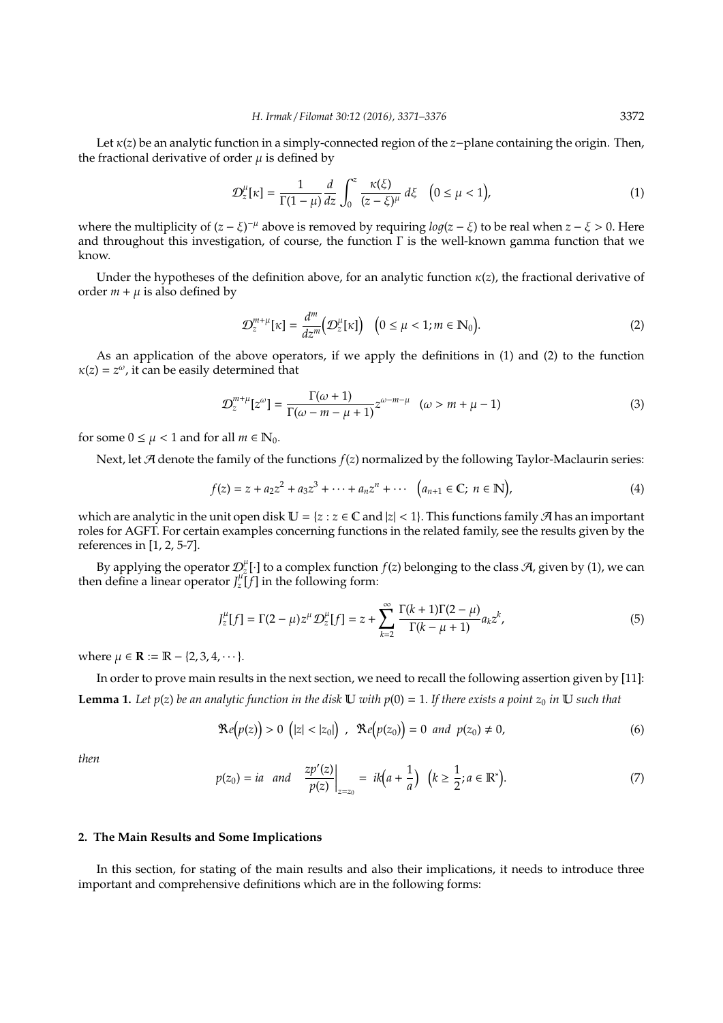Let κ(*z*) be an analytic function in a simply-connected region of the *z*−plane containing the origin. Then, the fractional derivative of order  $\mu$  is defined by

$$
\mathcal{D}_z^{\mu}[\kappa] = \frac{1}{\Gamma(1-\mu)} \frac{d}{dz} \int_0^z \frac{\kappa(\xi)}{(z-\xi)^{\mu}} d\xi \quad (0 \le \mu < 1), \tag{1}
$$

where the multiplicity of  $(z - \xi)^{-\mu}$  above is removed by requiring  $log(z - \xi)$  to be real when  $z - \xi > 0$ . Here and throughout this investigation, of course, the function  $\Gamma$  is the well-known gamma function that we know.

Under the hypotheses of the definition above, for an analytic function  $\kappa(z)$ , the fractional derivative of order  $m + \mu$  is also defined by

$$
\mathcal{D}_z^{m+\mu}[\kappa] = \frac{d^m}{dz^m} \big(\mathcal{D}_z^{\mu}[\kappa]\big) \quad \big(0 \le \mu < 1; m \in \mathbb{N}_0\big). \tag{2}
$$

As an application of the above operators, if we apply the definitions in (1) and (2) to the function  $\kappa(z) = z^{\omega}$ , it can be easily determined that

$$
\mathcal{D}_{z}^{m+\mu}[z^{\omega}] = \frac{\Gamma(\omega+1)}{\Gamma(\omega-m-\mu+1)} z^{\omega-m-\mu} \quad (\omega > m+\mu-1)
$$
\n(3)

for some  $0 \leq \mu < 1$  and for all  $m \in \mathbb{N}_0$ .

Next, let A denote the family of the functions *f*(*z*) normalized by the following Taylor-Maclaurin series:

$$
f(z) = z + a_2 z^2 + a_3 z^3 + \dots + a_n z^n + \dots \quad (a_{n+1} \in \mathbb{C}; \ n \in \mathbb{N}),
$$
 (4)

which are analytic in the unit open disk  $\mathbb{U} = \{z : z \in \mathbb{C} \text{ and } |z| < 1\}$ . This functions family  $\mathcal{A}$  has an important roles for AGFT. For certain examples concerning functions in the related family, see the results given by the references in [1, 2, 5-7].

By applying the operator  $\mathcal{D}_z^{\mu}[\cdot]$  to a complex function  $f(z)$  belonging to the class  $\mathcal A$ , given by (1), we can then define a linear operator  $J_z^{\mu}$ [*f*] in the following form:

$$
J_z^{\mu}[f] = \Gamma(2 - \mu)z^{\mu}\mathcal{D}_z^{\mu}[f] = z + \sum_{k=2}^{\infty} \frac{\Gamma(k+1)\Gamma(2-\mu)}{\Gamma(k-\mu+1)} a_k z^k,
$$
(5)

where  $\mu \in \mathbb{R} := \mathbb{R} - \{2, 3, 4, \dots\}.$ 

In order to prove main results in the next section, we need to recall the following assertion given by [11]: **Lemma 1.** Let  $p(z)$  be an analytic function in the disk U with  $p(0) = 1$ . If there exists a point  $z_0$  in U such that

$$
\Re e(p(z)) > 0 \ (|z| < |z_0|) \ , \ \Re e(p(z_0)) = 0 \ and \ p(z_0) \neq 0, \tag{6}
$$

*then*

$$
p(z_0) = ia
$$
 and  $\frac{zp'(z)}{p(z)}\Big|_{z=z_0} = ik(a + \frac{1}{a}) \quad (k \ge \frac{1}{2}; a \in \mathbb{R}^*).$  (7)

#### **2. The Main Results and Some Implications**

In this section, for stating of the main results and also their implications, it needs to introduce three important and comprehensive definitions which are in the following forms: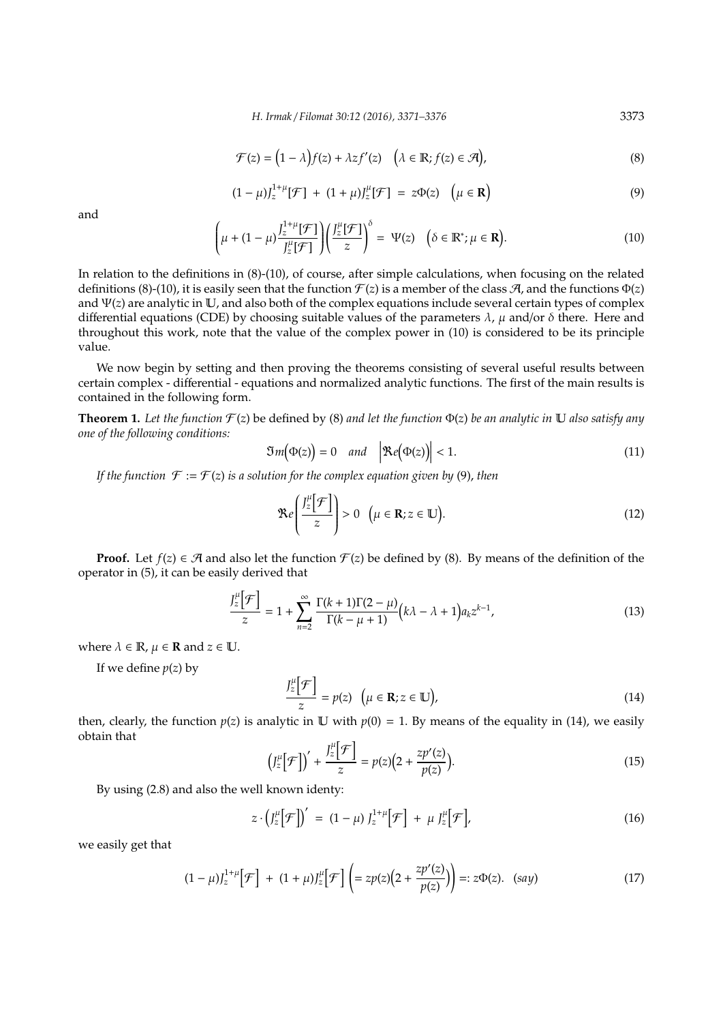$$
\mathcal{F}(z) = (1 - \lambda)f(z) + \lambda z f'(z) \quad (\lambda \in \mathbb{R}; f(z) \in \mathcal{A}),
$$
\n(8)

$$
(1 - \mu) J_z^{1 + \mu} [\mathcal{F}] + (1 + \mu) J_z^{\mu} [\mathcal{F}] = z \Phi(z) \quad (\mu \in \mathbf{R})
$$
\n(9)

and

$$
\left(\mu + (1 - \mu) \frac{J_z^{1+\mu}[\mathcal{F}]}{J_z^{\mu}[\mathcal{F}]} \right) \left(\frac{J_z^{\mu}[\mathcal{F}]}{z}\right)^{\delta} = \Psi(z) \quad \left(\delta \in \mathbb{R}^*; \mu \in \mathbf{R}\right).
$$
\n(10)

In relation to the definitions in (8)-(10), of course, after simple calculations, when focusing on the related definitions (8)-(10), it is easily seen that the function  $\mathcal{F}(z)$  is a member of the class  $\mathcal{A}$ , and the functions  $\Phi(z)$ and  $\Psi(z)$  are analytic in U, and also both of the complex equations include several certain types of complex differential equations (CDE) by choosing suitable values of the parameters  $\lambda$ ,  $\mu$  and/or  $\delta$  there. Here and throughout this work, note that the value of the complex power in (10) is considered to be its principle value.

We now begin by setting and then proving the theorems consisting of several useful results between certain complex - differential - equations and normalized analytic functions. The first of the main results is contained in the following form.

**Theorem 1.** Let the function  $\mathcal{F}(z)$  be defined by (8) and let the function  $\Phi(z)$  be an analytic in U also satisfy any *one of the following conditions:*

$$
\mathfrak{Im}(\Phi(z)) = 0 \quad \text{and} \quad \left| \mathfrak{Re}(\Phi(z)) \right| < 1. \tag{11}
$$

*If the function*  $\mathcal{F} := \mathcal{F}(z)$  *is a solution for the complex equation given by* (9), *then* 

$$
\Re e\left(\frac{J_z^{\mu}[\mathcal{F}]}{z}\right) > 0 \quad (\mu \in \mathbf{R}; z \in \mathbb{U}).
$$
\n(12)

**Proof.** Let  $f(z) \in \mathcal{A}$  and also let the function  $\mathcal{F}(z)$  be defined by (8). By means of the definition of the operator in (5), it can be easily derived that

$$
\frac{J_z^{\mu} \left[ \mathcal{F} \right]}{z} = 1 + \sum_{n=2}^{\infty} \frac{\Gamma(k+1)\Gamma(2-\mu)}{\Gamma(k-\mu+1)} \left( k\lambda - \lambda + 1 \right) a_k z^{k-1},\tag{13}
$$

where  $\lambda \in \mathbb{R}$ ,  $\mu \in \mathbb{R}$  and  $z \in \mathbb{U}$ .

If we define  $p(z)$  by

$$
\frac{J_z^{\mu}[\mathcal{F}]}{z} = p(z) \quad (\mu \in \mathbf{R}; z \in \mathbb{U}), \tag{14}
$$

then, clearly, the function  $p(z)$  is analytic in U with  $p(0) = 1$ . By means of the equality in (14), we easily obtain that

$$
\left(J_z^{\mu}\bigg[\mathcal{F}\bigg]\right)'+\frac{J_z^{\mu}\bigg[\mathcal{F}\bigg]}{z}=p(z)\bigg(2+\frac{zp'(z)}{p(z)}\bigg). \tag{15}
$$

By using (2.8) and also the well known identy:

$$
z \cdot \left(J_z^{\mu} \bigg[ \mathcal{F} \bigg] \right)' = (1 - \mu) J_z^{1 + \mu} \bigg[ \mathcal{F} \bigg] + \mu J_z^{\mu} \bigg[ \mathcal{F} \bigg], \tag{16}
$$

we easily get that

$$
(1 - \mu)J_z^{1 + \mu} \left[ \mathcal{F} \right] + (1 + \mu)J_z^{\mu} \left[ \mathcal{F} \right] \left( = zp(z)\left(2 + \frac{zp'(z)}{p(z)}\right) \right) =: z\Phi(z). \quad (say)
$$
 (17)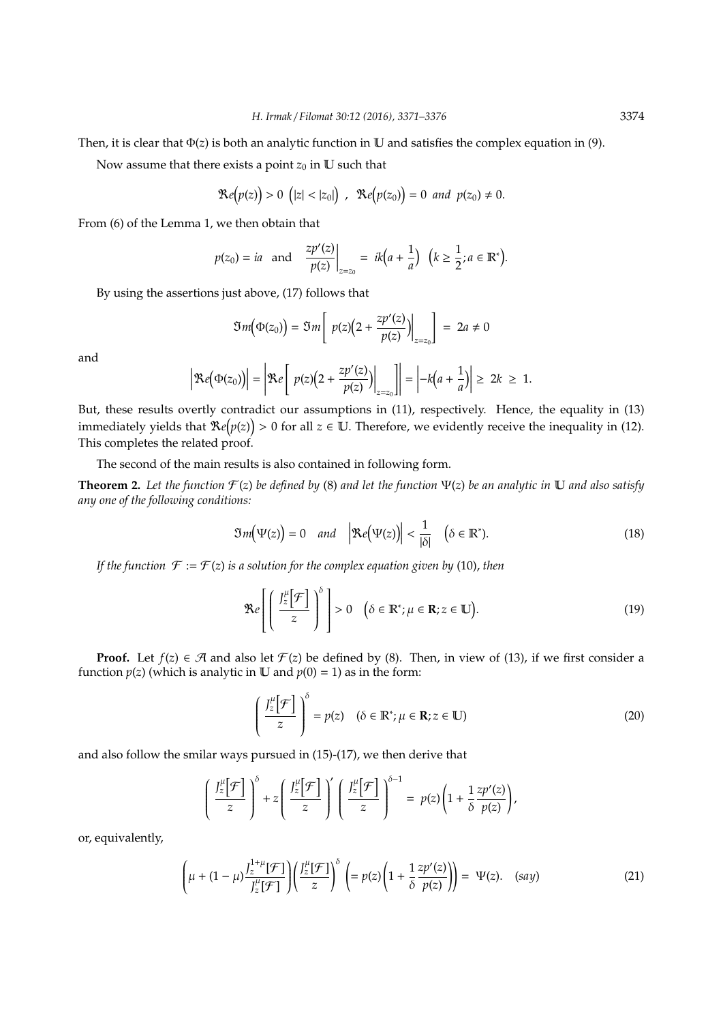Then, it is clear that Φ(*z*) is both an analytic function in U and satisfies the complex equation in (9).

Now assume that there exists a point  $z_0$  in  $U$  such that

$$
\mathcal{R}e(p(z)) > 0 \ (|z| < |z_0|) , \ \mathcal{R}e(p(z_0)) = 0 \ and \ p(z_0) \neq 0.
$$

From (6) of the Lemma 1, we then obtain that

$$
p(z_0) = ia
$$
 and  $\frac{zp'(z)}{p(z)}\Big|_{z=z_0} = ik(a + \frac{1}{a}) \quad (k \ge \frac{1}{2}; a \in \mathbb{R}^*).$ 

By using the assertions just above, (17) follows that

$$
\mathfrak{Im}\big(\Phi(z_0)\big)=\mathfrak{Im}\bigg[\left.\,p(z)\big(2+\frac{zp'(z)}{p(z)}\big)\right|_{z=z_0}\bigg]\,=\,2a\neq 0
$$

and

$$
\left|\mathfrak{Re}\big(\Phi(z_0)\big)\right|=\left|\mathfrak{Re}\left[p(z)\big(2+\frac{zp'(z)}{p(z)}\big)\right|_{z=z_0}\right]=\left|-k\big(a+\frac{1}{a}\big)\right|\geq 2k\geq 1.
$$

But, these results overtly contradict our assumptions in (11), respectively. Hence, the equality in (13) immediately yields that  $\Re e(p(z)) > 0$  for all  $z \in \mathbb{U}$ . Therefore, we evidently receive the inequality in (12). This completes the related proof.

The second of the main results is also contained in following form.

**Theorem 2.** Let the function  $\mathcal{F}(z)$  be defined by (8) and let the function  $\Psi(z)$  be an analytic in  $\mathbb U$  and also satisfy *any one of the following conditions:*

$$
\mathfrak{Im}(\Psi(z)) = 0 \quad \text{and} \quad \left| \mathfrak{Re}(\Psi(z)) \right| < \frac{1}{|\delta|} \quad \left( \delta \in \mathbb{R}^* \right). \tag{18}
$$

*If the function*  $\mathcal{F} := \mathcal{F}(z)$  *is a solution for the complex equation given by* (10), *then* 

$$
\Re e \left[ \left( \frac{J_z^{\mu} \left[ \mathcal{F} \right]}{z} \right)^{\delta} \right] > 0 \quad \left( \delta \in \mathbb{R}^*; \mu \in \mathbb{R}; z \in \mathbb{U} \right). \tag{19}
$$

**Proof.** Let  $f(z) \in \mathcal{A}$  and also let  $\mathcal{F}(z)$  be defined by (8). Then, in view of (13), if we first consider a function  $p(z)$  (which is analytic in U and  $p(0) = 1$ ) as in the form:

$$
\left(\frac{J_z^{\mu}[\mathcal{F}]}{z}\right)^{\delta} = p(z) \quad (\delta \in \mathbb{R}^*; \mu \in \mathbf{R}; z \in \mathbb{U})
$$
\n(20)

and also follow the smilar ways pursued in (15)-(17), we then derive that

$$
\left(\frac{J_z^{\mu}[\mathcal{F}]}{z}\right)^{\delta} + z \left(\frac{J_z^{\mu}[\mathcal{F}]}{z}\right)' \left(\frac{J_z^{\mu}[\mathcal{F}]}{z}\right)^{\delta-1} = p(z) \left(1 + \frac{1}{\delta} \frac{zp'(z)}{p(z)}\right),
$$

or, equivalently,

$$
\left(\mu + (1-\mu)\frac{J_z^{1+\mu}[\mathcal{F}]}{J_z^{\mu}[\mathcal{F}]}\right) \left(\frac{J_z^{\mu}[\mathcal{F}]}{z}\right)^{\delta} \left(= p(z) \left(1 + \frac{1}{\delta} \frac{zp'(z)}{p(z)}\right)\right) = \Psi(z). \quad (say)
$$
\n(21)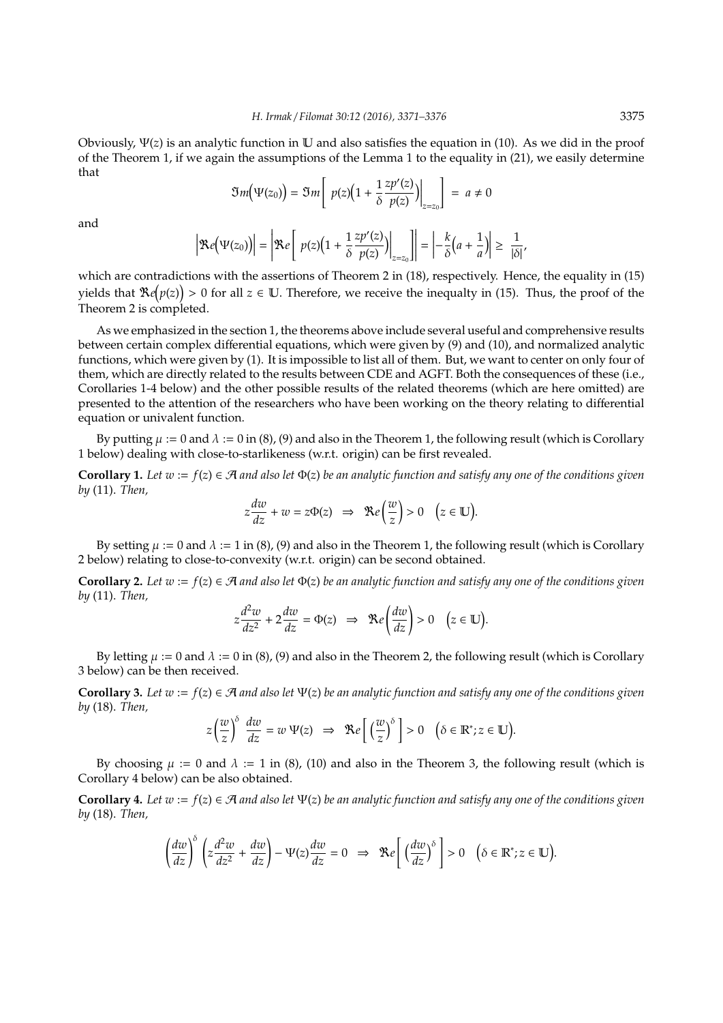Obviously, Ψ(*z*) is an analytic function in U and also satisfies the equation in (10). As we did in the proof of the Theorem 1, if we again the assumptions of the Lemma 1 to the equality in (21), we easily determine that

$$
\mathfrak{Im}\big(\Psi(z_0)\big)=\mathfrak{Im}\left[\left.p(z)\big(1+\frac{1}{\delta}\frac{zp'(z)}{p(z)}\big)\right|_{z=z_0}\right]\ =\ a\neq 0
$$

and

$$
\left|\mathfrak{Re}\big(\Psi(z_0)\big)\right|=\left|\mathfrak{Re}\left[p(z)\big(1+\frac{1}{\delta}\frac{zp'(z)}{p(z)}\big)\right|_{z=z_0}\right]=\left|-\frac{k}{\delta}\big(a+\frac{1}{a}\big)\right|\geq \frac{1}{|\delta|},
$$

which are contradictions with the assertions of Theorem 2 in (18), respectively. Hence, the equality in (15) yields that  $\Re e(p(z)) > 0$  for all  $z \in \mathbb{U}$ . Therefore, we receive the inequalty in (15). Thus, the proof of the Theorem 2 is completed.

As we emphasized in the section 1, the theorems above include several useful and comprehensive results between certain complex differential equations, which were given by (9) and (10), and normalized analytic functions, which were given by (1). It is impossible to list all of them. But, we want to center on only four of them, which are directly related to the results between CDE and AGFT. Both the consequences of these (i.e., Corollaries 1-4 below) and the other possible results of the related theorems (which are here omitted) are presented to the attention of the researchers who have been working on the theory relating to differential equation or univalent function.

By putting  $\mu := 0$  and  $\lambda := 0$  in (8), (9) and also in the Theorem 1, the following result (which is Corollary 1 below) dealing with close-to-starlikeness (w.r.t. origin) can be first revealed.

**Corollary 1.** Let  $w := f(z) \in \mathcal{A}$  and also let  $\Phi(z)$  be an analytic function and satisfy any one of the conditions given *by* (11). *Then,*

$$
z\frac{dw}{dz} + w = z\Phi(z) \implies \Re e\left(\frac{w}{z}\right) > 0 \quad (z \in \mathbb{U}).
$$

By setting  $\mu := 0$  and  $\lambda := 1$  in (8), (9) and also in the Theorem 1, the following result (which is Corollary 2 below) relating to close-to-convexity (w.r.t. origin) can be second obtained.

**Corollary 2.** Let  $w := f(z) \in \mathcal{A}$  and also let  $\Phi(z)$  be an analytic function and satisfy any one of the conditions given *by* (11). *Then,*

$$
z\frac{d^2w}{dz^2} + 2\frac{dw}{dz} = \Phi(z) \implies \Re e\left(\frac{dw}{dz}\right) > 0 \quad \big(z \in \mathbb{U}\big).
$$

By letting  $\mu := 0$  and  $\lambda := 0$  in (8), (9) and also in the Theorem 2, the following result (which is Corollary 3 below) can be then received.

**Corollary 3.** Let  $w := f(z) \in \mathcal{A}$  and also let  $\Psi(z)$  be an analytic function and satisfy any one of the conditions given *by* (18). *Then,*

$$
z\left(\frac{w}{z}\right)^{\delta} \frac{dw}{dz} = w \Psi(z) \implies \Re e\left[\left(\frac{w}{z}\right)^{\delta}\right] > 0 \quad \left(\delta \in \mathbb{R}^*; z \in \mathbb{U}\right).
$$

By choosing  $\mu := 0$  and  $\lambda := 1$  in (8), (10) and also in the Theorem 3, the following result (which is Corollary 4 below) can be also obtained.

**Corollary 4.** *Let w* := *f*(*z*) ∈ A *and also let* Ψ(*z*) *be an analytic function and satisfy any one of the conditions given by* (18). *Then,*

$$
\left(\frac{dw}{dz}\right)^{\delta}\left(z\frac{d^2w}{dz^2}+\frac{dw}{dz}\right)-\Psi(z)\frac{dw}{dz}=0 \implies \Re e\left[\left(\frac{dw}{dz}\right)^{\delta}\right]>0 \quad \left(\delta\in\mathbb{R}^*;z\in\mathbb{U}\right).
$$